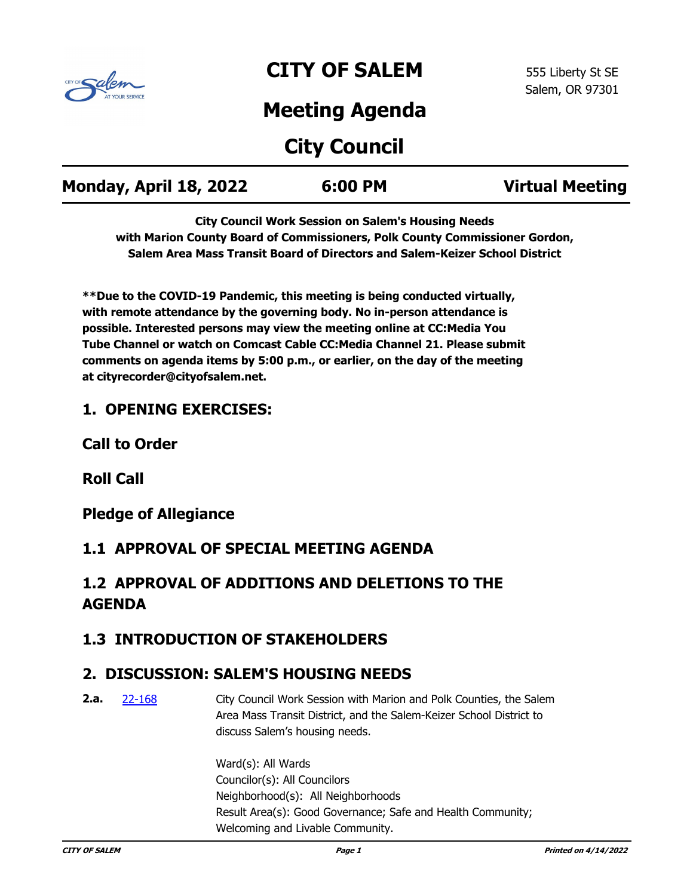

# **CITY OF SALEM**

## **Meeting Agenda**

# **City Council**

| Monday, April 18, 2022 | 6:00 PM | <b>Virtual Meeting</b> |
|------------------------|---------|------------------------|
|                        |         |                        |

**City Council Work Session on Salem's Housing Needs with Marion County Board of Commissioners, Polk County Commissioner Gordon, Salem Area Mass Transit Board of Directors and Salem-Keizer School District**

**\*\*Due to the COVID-19 Pandemic, this meeting is being conducted virtually, with remote attendance by the governing body. No in-person attendance is possible. Interested persons may view the meeting online at CC:Media You Tube Channel or watch on Comcast Cable CC:Media Channel 21. Please submit comments on agenda items by 5:00 p.m., or earlier, on the day of the meeting at cityrecorder@cityofsalem.net.**

### **1. OPENING EXERCISES:**

**Call to Order**

**Roll Call**

**Pledge of Allegiance**

### **1.1 APPROVAL OF SPECIAL MEETING AGENDA**

## **1.2 APPROVAL OF ADDITIONS AND DELETIONS TO THE AGENDA**

### **1.3 INTRODUCTION OF STAKEHOLDERS**

### **2. DISCUSSION: SALEM'S HOUSING NEEDS**

City Council Work Session with Marion and Polk Counties, the Salem Area Mass Transit District, and the Salem-Keizer School District to discuss Salem's housing needs. **2.a.** [22-168](http://salem.legistar.com/gateway.aspx?m=l&id=/matter.aspx?key=6029)

> Ward(s): All Wards Councilor(s): All Councilors Neighborhood(s): All Neighborhoods Result Area(s): Good Governance; Safe and Health Community; Welcoming and Livable Community.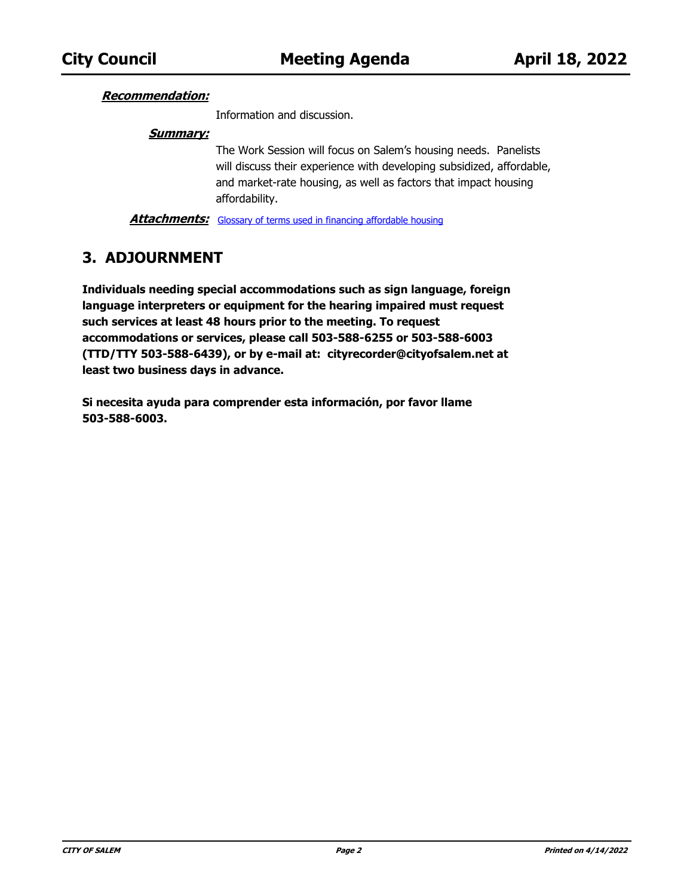#### **Recommendation:**

Information and discussion.

#### **Summary:**

The Work Session will focus on Salem's housing needs. Panelists will discuss their experience with developing subsidized, affordable, and market-rate housing, as well as factors that impact housing affordability.

**Attachments:** [Glossary of terms used in financing affordable housing](http://salem.legistar.com/gateway.aspx?M=F&ID=a45462d0-fdc1-42c9-84f1-764d02d8efdc.docx)

### **3. ADJOURNMENT**

**Individuals needing special accommodations such as sign language, foreign language interpreters or equipment for the hearing impaired must request such services at least 48 hours prior to the meeting. To request accommodations or services, please call 503-588-6255 or 503-588-6003 (TTD/TTY 503-588-6439), or by e-mail at: cityrecorder@cityofsalem.net at least two business days in advance.**

**Si necesita ayuda para comprender esta información, por favor llame 503-588-6003.**